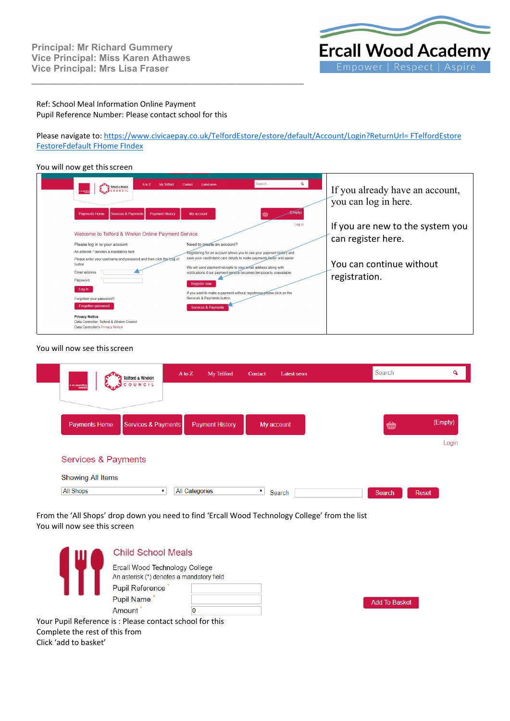

### Ref: School Meal Information Online Payment Pupil Reference Number: Please contact school for this

**\_\_\_\_\_\_\_\_\_\_\_\_\_\_\_\_\_\_\_\_\_\_\_\_\_\_\_\_\_\_\_\_\_\_\_\_\_\_\_\_\_\_\_\_\_\_\_\_\_\_\_\_**

Please navigate to[: https://www.civicaepay.co.uk/TelfordEstore/estore/default/Account/Login?ReturnUrl= FTelfordEstore](https://www.civicaepay.co.uk/TelfordEstore/estore/default/Account/Login?ReturnUrl=%20FTelfordEstore%20FestoreFdefault%20FHome%20FIndex) [FestoreFdefault FHome FIndex](https://www.civicaepay.co.uk/TelfordEstore/estore/default/Account/Login?ReturnUrl=%20FTelfordEstore%20FestoreFdefault%20FHome%20FIndex)

### You will now get this screen

| My Telford<br>A to Z<br>Telford & Wrekin<br>Scouwert<br><b>Services &amp; Payments</b><br><b>Payment History</b><br><b>Payments Home</b>                                                                                                               | Search<br>Contact<br><b>Latest news</b><br>$m$ pty<br>My account                                                                                                                                                                                                                                                                                                                                                                  | If you already have an account,<br>you can log in here.                                             |
|--------------------------------------------------------------------------------------------------------------------------------------------------------------------------------------------------------------------------------------------------------|-----------------------------------------------------------------------------------------------------------------------------------------------------------------------------------------------------------------------------------------------------------------------------------------------------------------------------------------------------------------------------------------------------------------------------------|-----------------------------------------------------------------------------------------------------|
| Welcome to Telford & Wrekin Online Payment Service<br>Please log in to your account<br>An asterisk * denotes a mandatory field<br>Please enter your username and password and then click the "Log in"<br>button<br>Email address<br>Password<br>Log in | Log in<br>Need to create an account?<br>Registering for an account allows you to see your payment history and<br>save your credit/debit card details to make payments faster and easier<br>We will send payment receipts to your email address along with<br>notifications if our payment service becomes temporarily unavailable<br><b>Register now</b><br>If you want to make a payment without registering-please click on the | If you are new to the system you<br>can register here.<br>You can continue without<br>registration. |
| Forgotten your password?<br>Forgotten password<br><b>Privacy Notice</b><br>Data Controller: Telford & Wrekin Council<br>Data Controller's Privacy Notice                                                                                               | Services & Payments button.<br><b>Services &amp; Payments</b>                                                                                                                                                                                                                                                                                                                                                                     |                                                                                                     |

#### You will now see this screen

|                                                                                                                                | <b>Telford &amp; Wrekin</b>                                                 | My Telford<br>$\overline{A}$ to $\overline{Z}$ | Contact<br>Latest news       | Search               | Q            |
|--------------------------------------------------------------------------------------------------------------------------------|-----------------------------------------------------------------------------|------------------------------------------------|------------------------------|----------------------|--------------|
|                                                                                                                                | COUNCIL                                                                     |                                                |                              |                      |              |
| <b>Payments Home</b>                                                                                                           | <b>Services &amp; Payments</b>                                              | <b>Payment History</b>                         | My account                   | ₩                    | (Empty)      |
| <b>Services &amp; Payments</b>                                                                                                 |                                                                             |                                                |                              |                      | Login        |
| Showing All Items                                                                                                              |                                                                             |                                                |                              |                      |              |
| <b>All Shops</b>                                                                                                               | $\pmb{\mathrm{v}}$                                                          | <b>All Categories</b>                          | $\pmb{\mathrm{v}}$<br>Search | Search               | <b>Reset</b> |
| From the 'All Shops' drop down you need to find 'Ercall Wood Technology College' from the list<br>You will now see this screen |                                                                             |                                                |                              |                      |              |
|                                                                                                                                | <b>Child School Meals</b>                                                   |                                                |                              |                      |              |
|                                                                                                                                | Ercall Wood Technology College<br>An asterisk (*) denotes a mandatory field |                                                |                              |                      |              |
|                                                                                                                                | Pupil Reference                                                             |                                                |                              |                      |              |
|                                                                                                                                | Pupil Name*<br>Amount <sup>*</sup>                                          | $\bf{0}$                                       |                              | <b>Add To Basket</b> |              |
| Your Pupil Reference is: Please contact school for this                                                                        |                                                                             |                                                |                              |                      |              |
| Complete the rest of this from                                                                                                 |                                                                             |                                                |                              |                      |              |
| Click 'add to basket'                                                                                                          |                                                                             |                                                |                              |                      |              |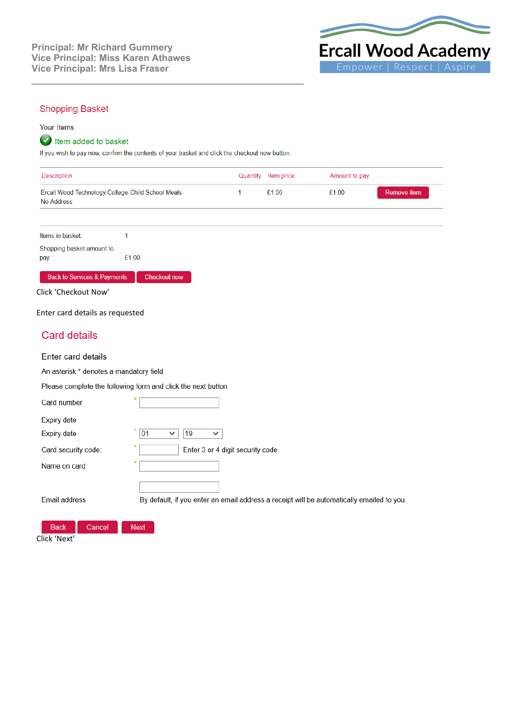

## **Shopping Basket**

#### Your Items

# tem added to basket

If you wish to pay now, confirm the contents of your basket and click the checkout now button.

**\_\_\_\_\_\_\_\_\_\_\_\_\_\_\_\_\_\_\_\_\_\_\_\_\_\_\_\_\_\_\_\_\_\_\_\_\_\_\_\_\_\_\_\_\_\_\_\_\_\_\_\_**

| Quantity Item price | Amount to pay |             |
|---------------------|---------------|-------------|
| £1.00               | £1.00         | Remove item |
|                     |               |             |

Items in basket:  $\overline{1}$ Shopping basket amount to £1.00 pay:

#### Back to Services & Payments Checkout now

Click 'Checkout Now'

Enter card details as requested

# **Card details**

#### Enter card details

An asterisk \* denotes a mandatory field

Please complete the following form and click the next button

| Card number           |                                                                                           |
|-----------------------|-------------------------------------------------------------------------------------------|
| Expiry date           |                                                                                           |
| Expiry date           | 01<br>19<br>$\checkmark$<br>$\checkmark$                                                  |
| Card security code:   | Enter 3 or 4 digit security code                                                          |
| Name on card          |                                                                                           |
|                       |                                                                                           |
| Email address         | By default, if you enter an email address a receipt will be automatically emailed to you. |
|                       |                                                                                           |
| <b>Back</b><br>Cancel | <b>Next</b>                                                                               |

Click 'Next'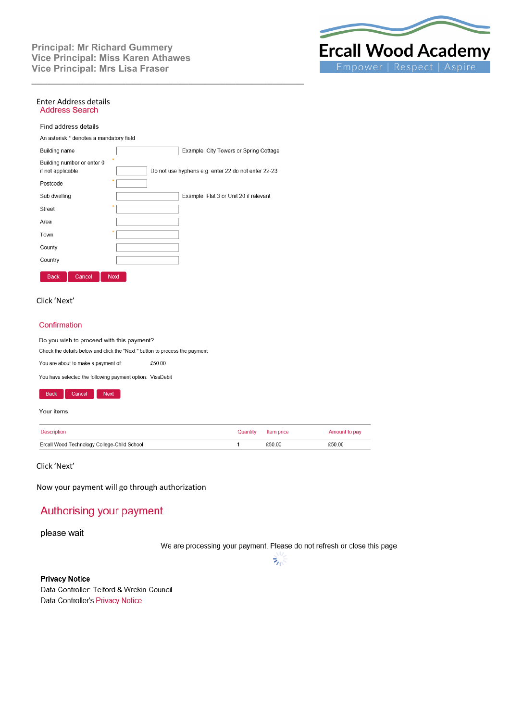

# Enter Address details<br>Address Search

#### Find address details

An asterisk \* denotes a mandatory field

| Building name     |                            |             | Example: City Towers or Spring Cottage              |
|-------------------|----------------------------|-------------|-----------------------------------------------------|
| if not applicable | Building number or enter 0 |             | Do not use hyphens e.g. enter 22 do not enter 22-23 |
| Postcode          |                            | 쑞           |                                                     |
| Sub dwelling      |                            |             | Example: Flat 3 or Unit 20 if relevant              |
| Street            |                            | ٠           |                                                     |
| Area              |                            |             |                                                     |
| Town              |                            | 条           |                                                     |
| County            |                            |             |                                                     |
| Country           |                            |             |                                                     |
| <b>Back</b>       | Cancel                     | <b>Next</b> |                                                     |

**\_\_\_\_\_\_\_\_\_\_\_\_\_\_\_\_\_\_\_\_\_\_\_\_\_\_\_\_\_\_\_\_\_\_\_\_\_\_\_\_\_\_\_\_\_\_\_\_\_\_\_\_**

#### Click 'Next'

#### Confirmation

Do you wish to proceed with this payment?

Check the details below and click the "Next " button to process the payment

£50.00 You are about to make a payment of:

You have selected the following payment option: VisaDebit



#### Your items

| Description                                 | Quantity Item price | Amount to pay |
|---------------------------------------------|---------------------|---------------|
| Ercall Wood Technology College-Child School | £50.00              | £50.00        |

Click 'Next'

Now your payment will go through authorization

# Authorising your payment

please wait

We are processing your payment. Please do not refresh or close this page.



**Privacy Notice** Data Controller: Telford & Wrekin Council Data Controller's Privacy Notice